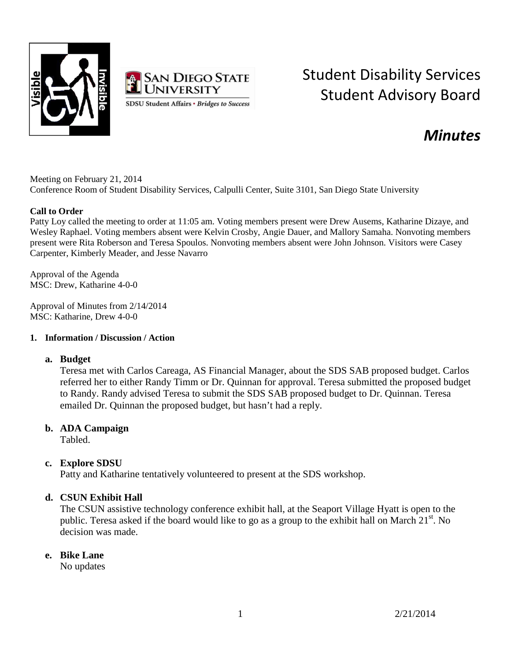



# Student Disability Services Student Advisory Board

## *Minutes*

Meeting on February 21, 2014 Conference Room of Student Disability Services, Calpulli Center, Suite 3101, San Diego State University

#### **Call to Order**

Patty Loy called the meeting to order at 11:05 am. Voting members present were Drew Ausems, Katharine Dizaye, and Wesley Raphael. Voting members absent were Kelvin Crosby, Angie Dauer, and Mallory Samaha. Nonvoting members present were Rita Roberson and Teresa Spoulos. Nonvoting members absent were John Johnson. Visitors were Casey Carpenter, Kimberly Meader, and Jesse Navarro

Approval of the Agenda MSC: Drew, Katharine 4-0-0

Approval of Minutes from 2/14/2014 MSC: Katharine, Drew 4-0-0

#### **1. Information / Discussion / Action**

#### **a. Budget**

Teresa met with Carlos Careaga, AS Financial Manager, about the SDS SAB proposed budget. Carlos referred her to either Randy Timm or Dr. Quinnan for approval. Teresa submitted the proposed budget to Randy. Randy advised Teresa to submit the SDS SAB proposed budget to Dr. Quinnan. Teresa emailed Dr. Quinnan the proposed budget, but hasn't had a reply.

#### **b. ADA Campaign**

Tabled.

#### **c. Explore SDSU**

Patty and Katharine tentatively volunteered to present at the SDS workshop.

### **d. CSUN Exhibit Hall**

The CSUN assistive technology conference exhibit hall, at the Seaport Village Hyatt is open to the public. Teresa asked if the board would like to go as a group to the exhibit hall on March  $21<sup>st</sup>$ . No decision was made.

#### **e. Bike Lane**

No updates